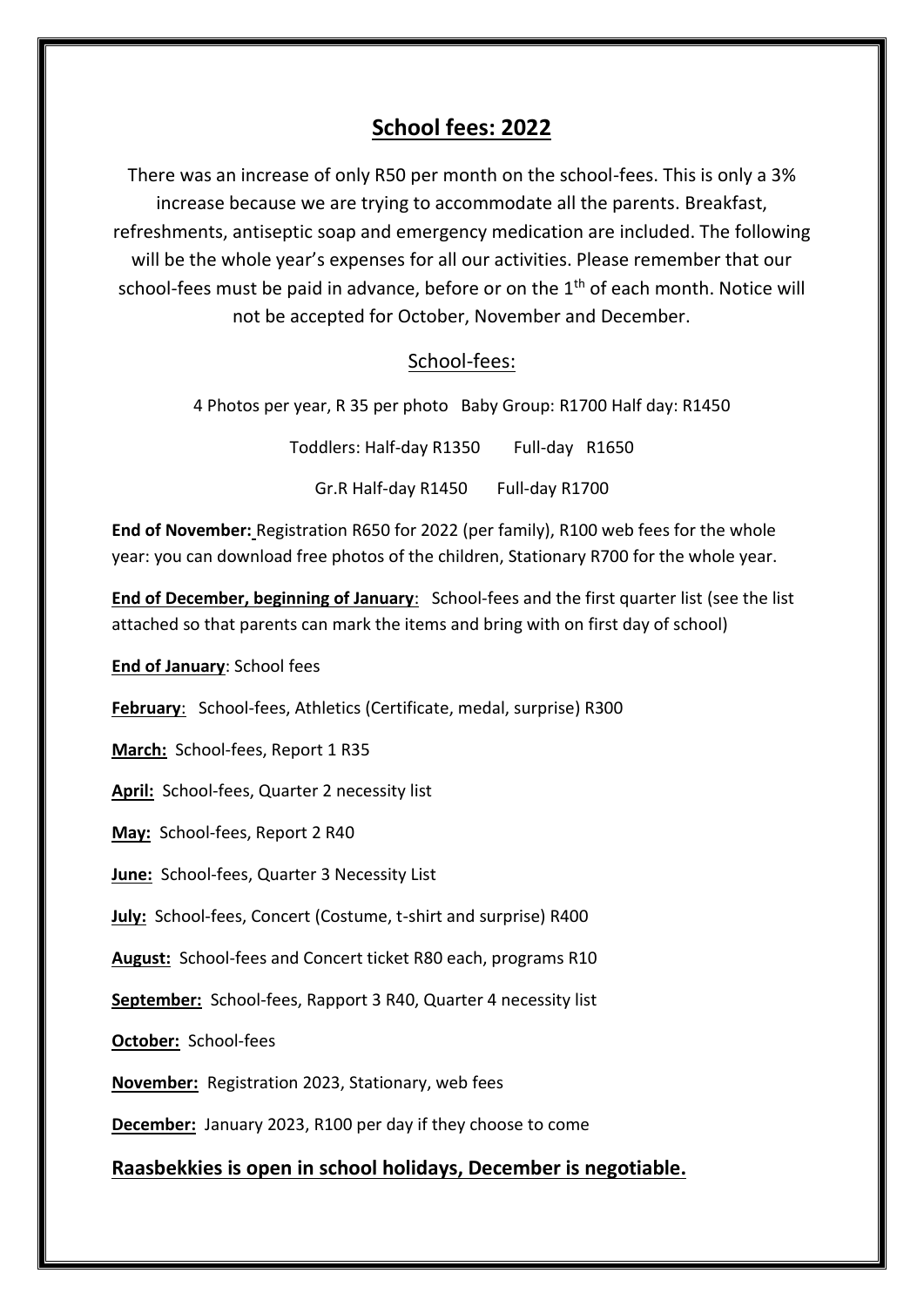# **School fees: 2022**

There was an increase of only R50 per month on the school-fees. This is only a 3% increase because we are trying to accommodate all the parents. Breakfast, refreshments, antiseptic soap and emergency medication are included. The following will be the whole year's expenses for all our activities. Please remember that our school-fees must be paid in advance, before or on the  $1<sup>th</sup>$  of each month. Notice will not be accepted for October, November and December.

### School-fees:

4 Photos per year, R 35 per photo Baby Group: R1700 Half day: R1450

Toddlers: Half-day R1350 Full-day R1650

Gr.R Half-day R1450 Full-day R1700

**End of November:** Registration R650 for 2022 (per family), R100 web fees for the whole year: you can download free photos of the children, Stationary R700 for the whole year.

**End of December, beginning of January**: School-fees and the first quarter list (see the list attached so that parents can mark the items and bring with on first day of school)

**End of January**: School fees

**February**: School-fees, Athletics (Certificate, medal, surprise) R300

March: School-fees, Report 1 R35

**April:** School-fees, Quarter 2 necessity list

**May:** School-fees, Report 2 R40

**June:** School-fees, Quarter 3 Necessity List

**July:** School-fees, Concert (Costume, t-shirt and surprise) R400

**August:** School-fees and Concert ticket R80 each, programs R10

**September:** School-fees, Rapport 3 R40, Quarter 4 necessity list

**October:** School-fees

**November:** Registration 2023, Stationary, web fees

**December:** January 2023, R100 per day if they choose to come

**Raasbekkies is open in school holidays, December is negotiable.**